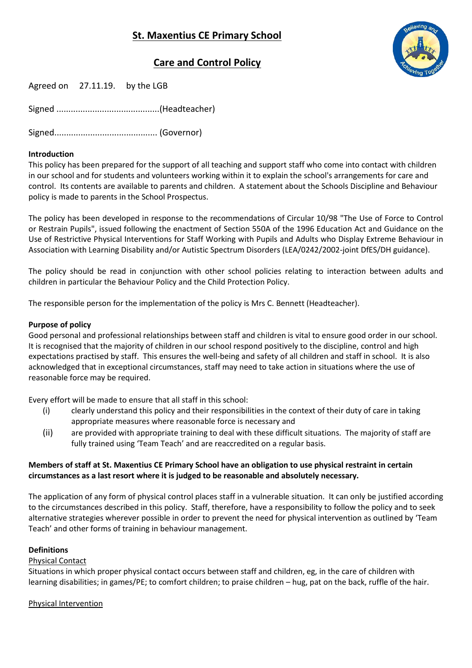

# **Care and Control Policy**

| Agreed on<br>by the LGB<br>27.11.19. |  |  |
|--------------------------------------|--|--|
|--------------------------------------|--|--|

Signed ...........................................(Headteacher)

Signed........................................... (Governor)

## **Introduction**

This policy has been prepared for the support of all teaching and support staff who come into contact with children in our school and for students and volunteers working within it to explain the school's arrangements for care and control. Its contents are available to parents and children. A statement about the Schools Discipline and Behaviour policy is made to parents in the School Prospectus.

The policy has been developed in response to the recommendations of Circular 10/98 "The Use of Force to Control or Restrain Pupils", issued following the enactment of Section 550A of the 1996 Education Act and Guidance on the Use of Restrictive Physical Interventions for Staff Working with Pupils and Adults who Display Extreme Behaviour in Association with Learning Disability and/or Autistic Spectrum Disorders (LEA/0242/2002-joint DfES/DH guidance).

The policy should be read in conjunction with other school policies relating to interaction between adults and children in particular the Behaviour Policy and the Child Protection Policy.

The responsible person for the implementation of the policy is Mrs C. Bennett (Headteacher).

## **Purpose of policy**

Good personal and professional relationships between staff and children is vital to ensure good order in our school. It is recognised that the majority of children in our school respond positively to the discipline, control and high expectations practised by staff. This ensures the well-being and safety of all children and staff in school. It is also acknowledged that in exceptional circumstances, staff may need to take action in situations where the use of reasonable force may be required.

Every effort will be made to ensure that all staff in this school:

- (i) clearly understand this policy and their responsibilities in the context of their duty of care in taking appropriate measures where reasonable force is necessary and
- (ii) are provided with appropriate training to deal with these difficult situations. The majority of staff are fully trained using 'Team Teach' and are reaccredited on a regular basis.

# **Members of staff at St. Maxentius CE Primary School have an obligation to use physical restraint in certain circumstances as a last resort where it is judged to be reasonable and absolutely necessary.**

The application of any form of physical control places staff in a vulnerable situation. It can only be justified according to the circumstances described in this policy. Staff, therefore, have a responsibility to follow the policy and to seek alternative strategies wherever possible in order to prevent the need for physical intervention as outlined by 'Team Teach' and other forms of training in behaviour management.

#### **Definitions**

#### Physical Contact

Situations in which proper physical contact occurs between staff and children, eg, in the care of children with learning disabilities; in games/PE; to comfort children; to praise children – hug, pat on the back, ruffle of the hair.

# Physical Intervention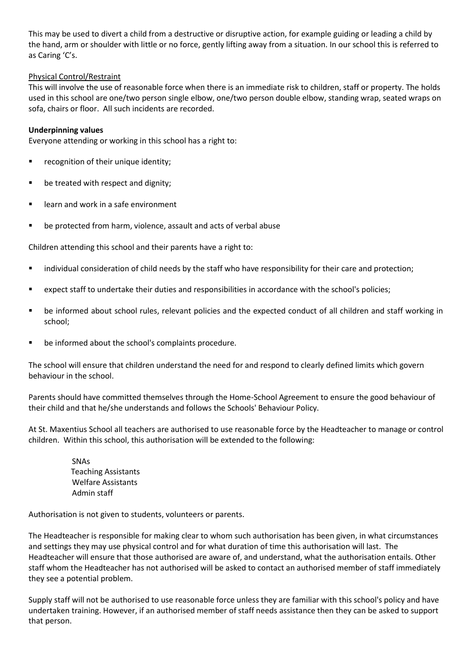This may be used to divert a child from a destructive or disruptive action, for example guiding or leading a child by the hand, arm or shoulder with little or no force, gently lifting away from a situation. In our school this is referred to as Caring 'C's.

## Physical Control/Restraint

This will involve the use of reasonable force when there is an immediate risk to children, staff or property. The holds used in this school are one/two person single elbow, one/two person double elbow, standing wrap, seated wraps on sofa, chairs or floor. All such incidents are recorded.

### **Underpinning values**

Everyone attending or working in this school has a right to:

- **F** recognition of their unique identity;
- be treated with respect and dignity;
- learn and work in a safe environment
- be protected from harm, violence, assault and acts of verbal abuse

Children attending this school and their parents have a right to:

- individual consideration of child needs by the staff who have responsibility for their care and protection;
- expect staff to undertake their duties and responsibilities in accordance with the school's policies;
- be informed about school rules, relevant policies and the expected conduct of all children and staff working in school;
- be informed about the school's complaints procedure.

The school will ensure that children understand the need for and respond to clearly defined limits which govern behaviour in the school.

Parents should have committed themselves through the Home-School Agreement to ensure the good behaviour of their child and that he/she understands and follows the Schools' Behaviour Policy.

At St. Maxentius School all teachers are authorised to use reasonable force by the Headteacher to manage or control children. Within this school, this authorisation will be extended to the following:

> SNAs Teaching Assistants Welfare Assistants Admin staff

Authorisation is not given to students, volunteers or parents.

The Headteacher is responsible for making clear to whom such authorisation has been given, in what circumstances and settings they may use physical control and for what duration of time this authorisation will last. The Headteacher will ensure that those authorised are aware of, and understand, what the authorisation entails. Other staff whom the Headteacher has not authorised will be asked to contact an authorised member of staff immediately they see a potential problem.

Supply staff will not be authorised to use reasonable force unless they are familiar with this school's policy and have undertaken training. However, if an authorised member of staff needs assistance then they can be asked to support that person.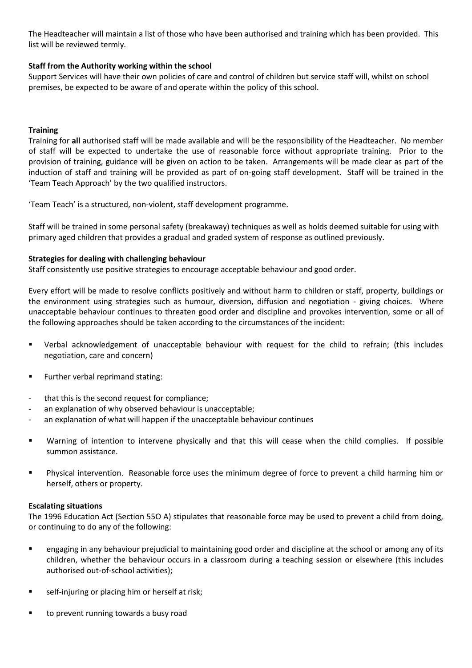The Headteacher will maintain a list of those who have been authorised and training which has been provided. This list will be reviewed termly.

## **Staff from the Authority working within the school**

Support Services will have their own policies of care and control of children but service staff will, whilst on school premises, be expected to be aware of and operate within the policy of this school.

### **Training**

Training for **all** authorised staff will be made available and will be the responsibility of the Headteacher. No member of staff will be expected to undertake the use of reasonable force without appropriate training. Prior to the provision of training, guidance will be given on action to be taken. Arrangements will be made clear as part of the induction of staff and training will be provided as part of on-going staff development. Staff will be trained in the 'Team Teach Approach' by the two qualified instructors.

'Team Teach' is a structured, non-violent, staff development programme.

Staff will be trained in some personal safety (breakaway) techniques as well as holds deemed suitable for using with primary aged children that provides a gradual and graded system of response as outlined previously.

## **Strategies for dealing with challenging behaviour**

Staff consistently use positive strategies to encourage acceptable behaviour and good order.

Every effort will be made to resolve conflicts positively and without harm to children or staff, property, buildings or the environment using strategies such as humour, diversion, diffusion and negotiation - giving choices. Where unacceptable behaviour continues to threaten good order and discipline and provokes intervention, some or all of the following approaches should be taken according to the circumstances of the incident:

- Verbal acknowledgement of unacceptable behaviour with request for the child to refrain; (this includes negotiation, care and concern)
- Further verbal reprimand stating:
- that this is the second request for compliance:
- an explanation of why observed behaviour is unacceptable;
- an explanation of what will happen if the unacceptable behaviour continues
- Warning of intention to intervene physically and that this will cease when the child complies. If possible summon assistance.
- Physical intervention. Reasonable force uses the minimum degree of force to prevent a child harming him or herself, others or property.

#### **Escalating situations**

The 1996 Education Act (Section 55O A) stipulates that reasonable force may be used to prevent a child from doing, or continuing to do any of the following:

- engaging in any behaviour prejudicial to maintaining good order and discipline at the school or among any of its children, whether the behaviour occurs in a classroom during a teaching session or elsewhere (this includes authorised out-of-school activities);
- self-injuring or placing him or herself at risk;
- to prevent running towards a busy road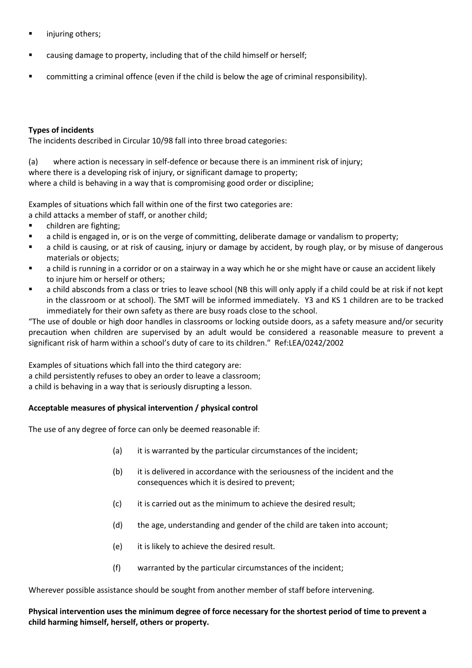- injuring others;
- causing damage to property, including that of the child himself or herself;
- committing a criminal offence (even if the child is below the age of criminal responsibility).

## **Types of incidents**

The incidents described in Circular 10/98 fall into three broad categories:

(a) where action is necessary in self-defence or because there is an imminent risk of injury; where there is a developing risk of injury, or significant damage to property; where a child is behaving in a way that is compromising good order or discipline;

Examples of situations which fall within one of the first two categories are: a child attacks a member of staff, or another child;

- children are fighting;
- a child is engaged in, or is on the verge of committing, deliberate damage or vandalism to property;
- a child is causing, or at risk of causing, injury or damage by accident, by rough play, or by misuse of dangerous materials or objects;
- a child is running in a corridor or on a stairway in a way which he or she might have or cause an accident likely to injure him or herself or others;
- a child absconds from a class or tries to leave school (NB this will only apply if a child could be at risk if not kept in the classroom or at school). The SMT will be informed immediately. Y3 and KS 1 children are to be tracked immediately for their own safety as there are busy roads close to the school.

"The use of double or high door handles in classrooms or locking outside doors, as a safety measure and/or security precaution when children are supervised by an adult would be considered a reasonable measure to prevent a significant risk of harm within a school's duty of care to its children." Ref:LEA/0242/2002

Examples of situations which fall into the third category are: a child persistently refuses to obey an order to leave a classroom; a child is behaving in a way that is seriously disrupting a lesson.

# **Acceptable measures of physical intervention / physical control**

The use of any degree of force can only be deemed reasonable if:

- (a) it is warranted by the particular circumstances of the incident;
- (b) it is delivered in accordance with the seriousness of the incident and the consequences which it is desired to prevent;
- (c) it is carried out as the minimum to achieve the desired result;
- (d) the age, understanding and gender of the child are taken into account;
- (e) it is likely to achieve the desired result.
- (f) warranted by the particular circumstances of the incident;

Wherever possible assistance should be sought from another member of staff before intervening.

# **Physical intervention uses the minimum degree of force necessary for the shortest period of time to prevent a child harming himself, herself, others or property.**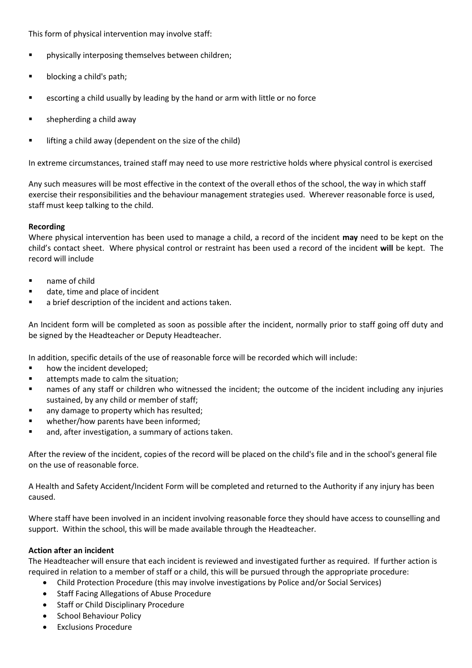This form of physical intervention may involve staff:

- physically interposing themselves between children;
- **blocking a child's path;**
- escorting a child usually by leading by the hand or arm with little or no force
- shepherding a child away
- lifting a child away (dependent on the size of the child)

In extreme circumstances, trained staff may need to use more restrictive holds where physical control is exercised

Any such measures will be most effective in the context of the overall ethos of the school, the way in which staff exercise their responsibilities and the behaviour management strategies used. Wherever reasonable force is used, staff must keep talking to the child.

#### **Recording**

Where physical intervention has been used to manage a child, a record of the incident **may** need to be kept on the child's contact sheet. Where physical control or restraint has been used a record of the incident **will** be kept. The record will include

- name of child
- date, time and place of incident
- a brief description of the incident and actions taken.

An Incident form will be completed as soon as possible after the incident, normally prior to staff going off duty and be signed by the Headteacher or Deputy Headteacher.

In addition, specific details of the use of reasonable force will be recorded which will include:

- how the incident developed;
- attempts made to calm the situation;
- names of any staff or children who witnessed the incident; the outcome of the incident including any injuries sustained, by any child or member of staff;
- any damage to property which has resulted;
- whether/how parents have been informed;
- and, after investigation, a summary of actions taken.

After the review of the incident, copies of the record will be placed on the child's file and in the school's general file on the use of reasonable force.

A Health and Safety Accident/Incident Form will be completed and returned to the Authority if any injury has been caused.

Where staff have been involved in an incident involving reasonable force they should have access to counselling and support. Within the school, this will be made available through the Headteacher.

#### **Action after an incident**

The Headteacher will ensure that each incident is reviewed and investigated further as required. If further action is required in relation to a member of staff or a child, this will be pursued through the appropriate procedure:

- Child Protection Procedure (this may involve investigations by Police and/or Social Services)
- Staff Facing Allegations of Abuse Procedure
- Staff or Child Disciplinary Procedure
- School Behaviour Policy
- Exclusions Procedure